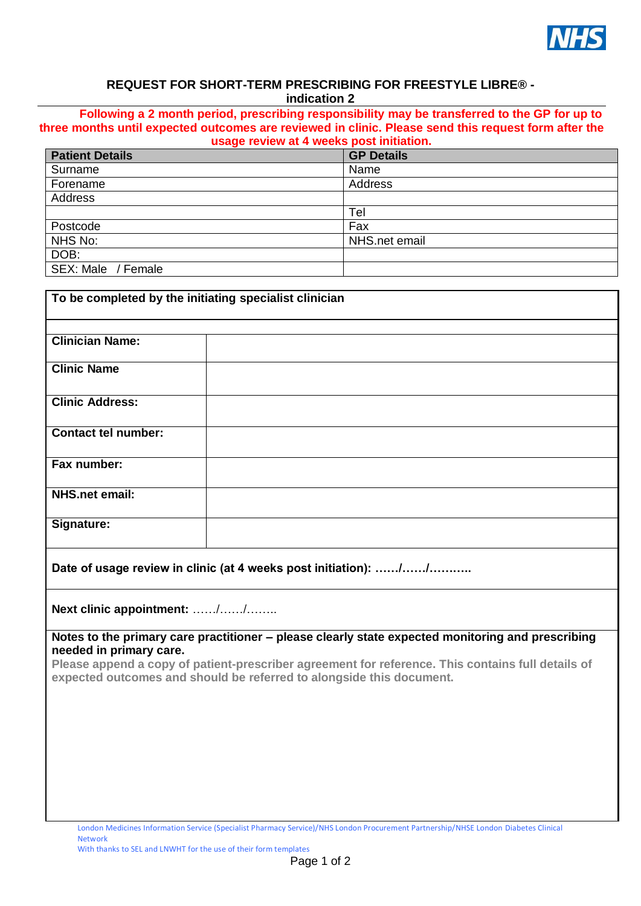

## **REQUEST FOR SHORT-TERM PRESCRIBING FOR FREESTYLE LIBRE® indication 2**

**Following a 2 month period, prescribing responsibility may be transferred to the GP for up to three months until expected outcomes are reviewed in clinic. Please send this request form after the usage review at 4 weeks post initiation.** 

| abago rovion at a moono poblamination. |                   |  |  |
|----------------------------------------|-------------------|--|--|
| <b>Patient Details</b>                 | <b>GP Details</b> |  |  |
| Surname                                | Name              |  |  |
| Forename                               | Address           |  |  |
| Address                                |                   |  |  |
|                                        | Tel               |  |  |
| Postcode                               | Fax               |  |  |
| NHS No:                                | NHS.net email     |  |  |
| DOB:                                   |                   |  |  |
| SEX: Male / Female                     |                   |  |  |
|                                        |                   |  |  |

| To be completed by the initiating specialist clinician |  |  |  |  |  |
|--------------------------------------------------------|--|--|--|--|--|
|                                                        |  |  |  |  |  |
| <b>Clinician Name:</b>                                 |  |  |  |  |  |
| <b>Clinic Name</b>                                     |  |  |  |  |  |
| <b>Clinic Address:</b>                                 |  |  |  |  |  |
| <b>Contact tel number:</b>                             |  |  |  |  |  |
| Fax number:                                            |  |  |  |  |  |
| <b>NHS.net email:</b>                                  |  |  |  |  |  |
| Signature:                                             |  |  |  |  |  |
|                                                        |  |  |  |  |  |

**Date of usage review in clinic (at 4 weeks post initiation): ……/……/………..**

**Next clinic appointment:** ……/……/……..

**Notes to the primary care practitioner – please clearly state expected monitoring and prescribing needed in primary care.**

**Please append a copy of patient-prescriber agreement for reference. This contains full details of expected outcomes and should be referred to alongside this document.**

With thanks to SEL and LNWHT for the use of their form templates